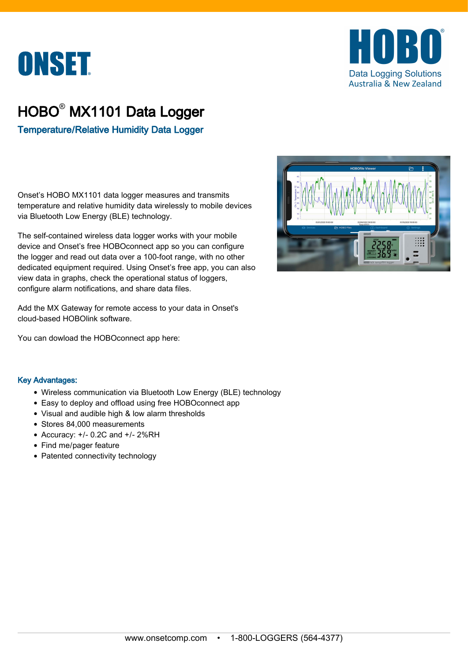



## HOBO® MX1101 Data Logger

Temperature/Relative Humidity Data Logger

Onset's HOBO MX1101 data logger measures and transmits temperature and relative humidity data wirelessly to mobile devices via Bluetooth Low Energy (BLE) technology.

The self-contained wireless data logger works with your mobile device and Onset's free HOBOconnect app so you can configure the logger and read out data over a 100-foot range, with no other dedicated equipment required. Using Onset's free app, you can also view data in graphs, check the operational status of loggers, configure alarm notifications, and share data files.

Add the MX Gateway for remote access to your data in Onset's cloud-based HOBOlink software.

You can dowload the HOBOconnect app here:

## Key Advantages:

- Wireless communication via Bluetooth Low Energy (BLE) technology
- Easy to deploy and offload using free HOBOconnect app
- Visual and audible high & low alarm thresholds
- Stores 84,000 measurements
- $\bullet$  Accuracy:  $+/- 0.2C$  and  $+/- 2%RH$
- Find me/pager feature
- Patented connectivity technology

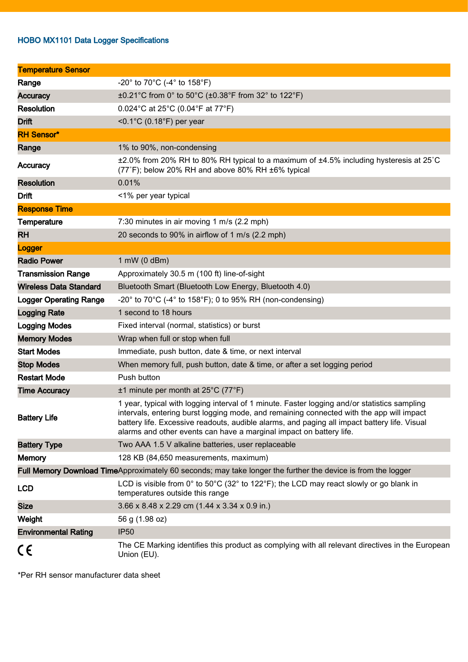## HOBO MX1101 Data Logger Specifications

| <b>Temperature Sensor</b>                                                                                    |                                                                                                                                                                                                                                                                                                                                                                 |
|--------------------------------------------------------------------------------------------------------------|-----------------------------------------------------------------------------------------------------------------------------------------------------------------------------------------------------------------------------------------------------------------------------------------------------------------------------------------------------------------|
| Range                                                                                                        | $-20^{\circ}$ to 70 $^{\circ}$ C (-4 $^{\circ}$ to 158 $^{\circ}$ F)                                                                                                                                                                                                                                                                                            |
| <b>Accuracy</b>                                                                                              | ±0.21°C from 0° to 50°C (±0.38°F from 32° to 122°F)                                                                                                                                                                                                                                                                                                             |
| <b>Resolution</b>                                                                                            | 0.024°C at 25°C (0.04°F at 77°F)                                                                                                                                                                                                                                                                                                                                |
| <b>Drift</b>                                                                                                 | < $0.1^{\circ}$ C (0.18 $^{\circ}$ F) per year                                                                                                                                                                                                                                                                                                                  |
| <b>RH Sensor*</b>                                                                                            |                                                                                                                                                                                                                                                                                                                                                                 |
| Range                                                                                                        | 1% to 90%, non-condensing                                                                                                                                                                                                                                                                                                                                       |
| Accuracy                                                                                                     | ±2.0% from 20% RH to 80% RH typical to a maximum of ±4.5% including hysteresis at 25°C<br>(77°F); below 20% RH and above 80% RH ±6% typical                                                                                                                                                                                                                     |
| <b>Resolution</b>                                                                                            | 0.01%                                                                                                                                                                                                                                                                                                                                                           |
| <b>Drift</b>                                                                                                 | <1% per year typical                                                                                                                                                                                                                                                                                                                                            |
| <b>Response Time</b>                                                                                         |                                                                                                                                                                                                                                                                                                                                                                 |
| Temperature                                                                                                  | 7:30 minutes in air moving 1 m/s (2.2 mph)                                                                                                                                                                                                                                                                                                                      |
| <b>RH</b>                                                                                                    | 20 seconds to 90% in airflow of 1 m/s (2.2 mph)                                                                                                                                                                                                                                                                                                                 |
| Logger                                                                                                       |                                                                                                                                                                                                                                                                                                                                                                 |
| <b>Radio Power</b>                                                                                           | 1 mW (0 dBm)                                                                                                                                                                                                                                                                                                                                                    |
| <b>Transmission Range</b>                                                                                    | Approximately 30.5 m (100 ft) line-of-sight                                                                                                                                                                                                                                                                                                                     |
| <b>Wireless Data Standard</b>                                                                                | Bluetooth Smart (Bluetooth Low Energy, Bluetooth 4.0)                                                                                                                                                                                                                                                                                                           |
| <b>Logger Operating Range</b>                                                                                | -20 $^{\circ}$ to 70 $^{\circ}$ C (-4 $^{\circ}$ to 158 $^{\circ}$ F); 0 to 95% RH (non-condensing)                                                                                                                                                                                                                                                             |
| <b>Logging Rate</b>                                                                                          | 1 second to 18 hours                                                                                                                                                                                                                                                                                                                                            |
| <b>Logging Modes</b>                                                                                         | Fixed interval (normal, statistics) or burst                                                                                                                                                                                                                                                                                                                    |
| <b>Memory Modes</b>                                                                                          | Wrap when full or stop when full                                                                                                                                                                                                                                                                                                                                |
| <b>Start Modes</b>                                                                                           | Immediate, push button, date & time, or next interval                                                                                                                                                                                                                                                                                                           |
| <b>Stop Modes</b>                                                                                            | When memory full, push button, date & time, or after a set logging period                                                                                                                                                                                                                                                                                       |
| <b>Restart Mode</b>                                                                                          | Push button                                                                                                                                                                                                                                                                                                                                                     |
| <b>Time Accuracy</b>                                                                                         | $\pm$ 1 minute per month at 25°C (77°F)                                                                                                                                                                                                                                                                                                                         |
| <b>Battery Life</b>                                                                                          | 1 year, typical with logging interval of 1 minute. Faster logging and/or statistics sampling<br>intervals, entering burst logging mode, and remaining connected with the app will impact<br>battery life. Excessive readouts, audible alarms, and paging all impact battery life. Visual<br>alarms and other events can have a marginal impact on battery life. |
| <b>Battery Type</b>                                                                                          | Two AAA 1.5 V alkaline batteries, user replaceable                                                                                                                                                                                                                                                                                                              |
| <b>Memory</b>                                                                                                | 128 KB (84,650 measurements, maximum)                                                                                                                                                                                                                                                                                                                           |
| Full Memory Download TimeApproximately 60 seconds; may take longer the further the device is from the logger |                                                                                                                                                                                                                                                                                                                                                                 |
| <b>LCD</b>                                                                                                   | LCD is visible from 0° to 50°C (32° to 122°F); the LCD may react slowly or go blank in<br>temperatures outside this range                                                                                                                                                                                                                                       |
| <b>Size</b>                                                                                                  | 3.66 x 8.48 x 2.29 cm (1.44 x 3.34 x 0.9 in.)                                                                                                                                                                                                                                                                                                                   |
| Weight                                                                                                       | 56 g (1.98 oz)                                                                                                                                                                                                                                                                                                                                                  |
| <b>Environmental Rating</b>                                                                                  | <b>IP50</b>                                                                                                                                                                                                                                                                                                                                                     |
| CE                                                                                                           | The CE Marking identifies this product as complying with all relevant directives in the European<br>Union (EU).                                                                                                                                                                                                                                                 |

\*Per RH sensor manufacturer data sheet